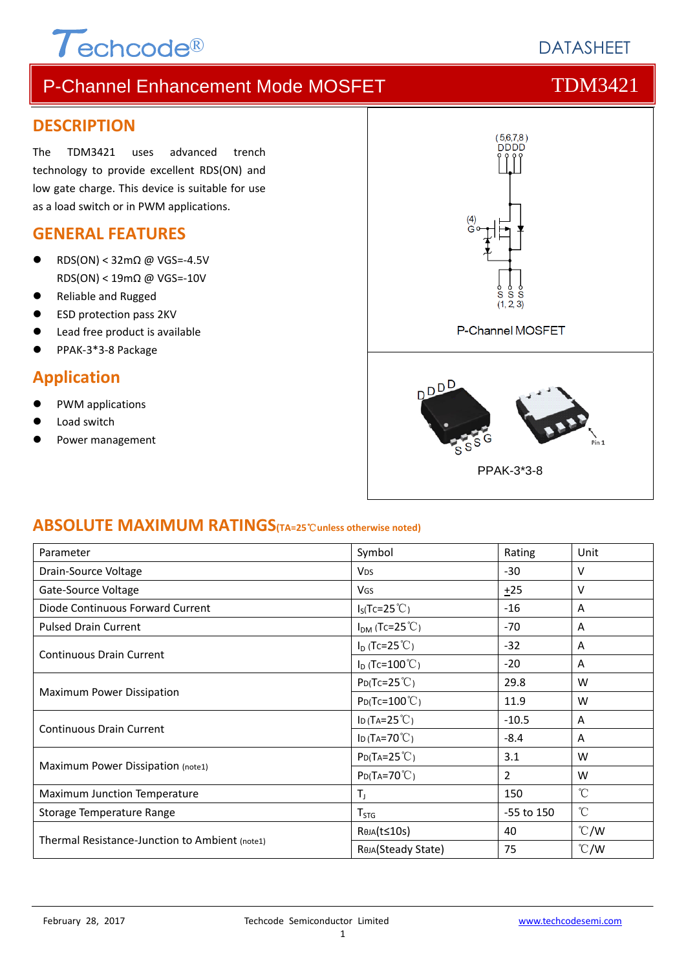### **DESCRIPTION**

The TDM3421 uses advanced trench technology to provide excellent RDS(ON) and low gate charge. This device is suitable for use as a load switch or in PWM applications.

 $\tau$ echcode®

### **GENERAL FEATURES**

- RDS(ON) < 32mΩ @ VGS=‐4.5V RDS(ON) < 19mΩ @ VGS=‐10V
- Reliable and Rugged
- ESD protection pass 2KV
- Lead free product is available
- PPAK‐3\*3‐8 Package

## **Application**

- PWM applications
- Load switch
- Power management



## **ABSOLUTE MAXIMUM RATINGS(TA=25**℃**unless otherwise noted)**

| Parameter                                      | Symbol                                      | Rating     | Unit                 |
|------------------------------------------------|---------------------------------------------|------------|----------------------|
| Drain-Source Voltage                           | <b>V<sub>DS</sub></b>                       | -30        | v                    |
| Gate-Source Voltage                            | VGS                                         | ±25        | v                    |
| Diode Continuous Forward Current               | $I_S(Tc=25^{\circ}C)$                       | $-16$      | A                    |
| <b>Pulsed Drain Current</b>                    | $I_{DM}$ (Tc=25 <sup>°</sup> C)             | $-70$      | A                    |
| <b>Continuous Drain Current</b>                | $I_D$ (Tc=25 <sup>°</sup> C)                | $-32$      | A                    |
|                                                | $I_D$ (Tc=100 °C)                           | $-20$      | Α                    |
| <b>Maximum Power Dissipation</b>               | $P_{D}$ (Tc=25 $°C$ )                       | 29.8       | W                    |
|                                                | $P_D(Tc=100^{\circ}C)$                      | 11.9       | w                    |
| <b>Continuous Drain Current</b>                | ID (TA=25 $°C$ )                            | $-10.5$    | A                    |
|                                                | ID (TA=70 $°C$ )                            | $-8.4$     | A                    |
| Maximum Power Dissipation (note1)              | $P_{D}$ (T <sub>A</sub> =25 <sup>°</sup> C) | 3.1        | W                    |
|                                                | $P_{D}(Ta=70^{\circ}C)$                     | 2          | W                    |
| Maximum Junction Temperature                   | $T_{J}$                                     | 150        | $^{\circ}$ C         |
| Storage Temperature Range                      | $T_{STG}$                                   | -55 to 150 | $\mathrm{C}^{\circ}$ |
|                                                | RejA(t≤10s)                                 | 40         | $\degree$ C/W        |
| Thermal Resistance-Junction to Ambient (note1) | ROJA(Steady State)                          | 75         | $\degree$ C/W        |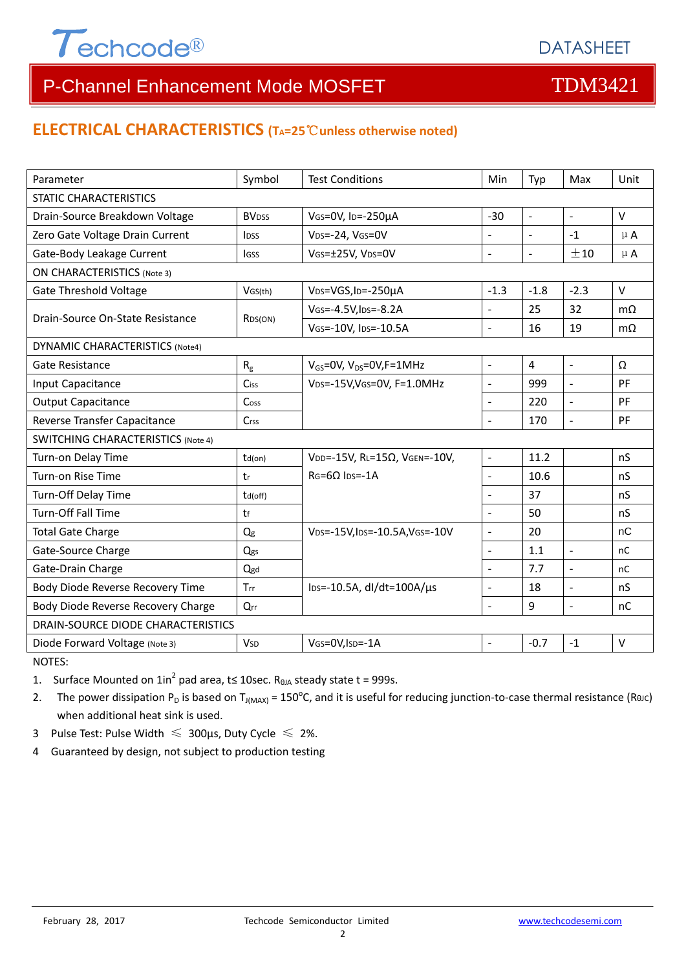

### **ELECTRICAL CHARACTERISTICS (TA=25**℃**unless otherwise noted)**

| Parameter                                 | Symbol                   | <b>Test Conditions</b>                       | Min                      | Typ            | Max                 | Unit         |  |  |
|-------------------------------------------|--------------------------|----------------------------------------------|--------------------------|----------------|---------------------|--------------|--|--|
| <b>STATIC CHARACTERISTICS</b>             |                          |                                              |                          |                |                     |              |  |  |
| Drain-Source Breakdown Voltage            | <b>BV</b> <sub>DSS</sub> | VGS=0V, ID=-250µA                            | $-30$                    | $\blacksquare$ | $\blacksquare$      | $\vee$       |  |  |
| Zero Gate Voltage Drain Current           | <b>l</b> <sub>DSS</sub>  | VDS=-24, VGS=0V                              | $\overline{a}$           | $\mathbf{r}$   | $-1$                | $\mu$ A      |  |  |
| Gate-Body Leakage Current                 | lgss                     | VGS=±25V, VDS=0V                             | $\Box$                   | $\blacksquare$ | ±10                 | $\mu$ A      |  |  |
| <b>ON CHARACTERISTICS (Note 3)</b>        |                          |                                              |                          |                |                     |              |  |  |
| <b>Gate Threshold Voltage</b>             | VGS(th)                  | V <sub>DS</sub> =VGS, I <sub>D</sub> =-250µA | $-1.3$                   | $-1.8$         | $-2.3$              | $\vee$       |  |  |
| Drain-Source On-State Resistance          |                          | VGS=-4.5V, IDS=-8.2A                         |                          | 25             | 32                  | $m\Omega$    |  |  |
|                                           | RDS(ON)                  | VGS=-10V, IDS=-10.5A                         | $\overline{a}$           | 16             | 19                  | $m\Omega$    |  |  |
| <b>DYNAMIC CHARACTERISTICS (Note4)</b>    |                          |                                              |                          |                |                     |              |  |  |
| Gate Resistance                           | R <sub>g</sub>           | $V_{GS}$ =0V, $V_{DS}$ =0V, F=1MHz           | $\blacksquare$           | 4              | $\sim$              | Ω            |  |  |
| Input Capacitance                         | Ciss                     | VDS=-15V, VGS=0V, F=1.0MHz                   | $\blacksquare$           | 999            | $\frac{1}{2}$       | PF           |  |  |
| <b>Output Capacitance</b>                 | Coss                     |                                              | $\overline{a}$           | 220            | $\sim$              | PF           |  |  |
| Reverse Transfer Capacitance              | Crss                     |                                              | $\sim$                   | 170            | $\sim$              | PF           |  |  |
| <b>SWITCHING CHARACTERISTICS (Note 4)</b> |                          |                                              |                          |                |                     |              |  |  |
| Turn-on Delay Time                        | $td($ on $)$             | VDD=-15V, RL=15Ω, VGEN=-10V,                 | $\frac{1}{2}$            | 11.2           |                     | nS           |  |  |
| Turn-on Rise Time                         | tr                       | $RG=6Q$ $Ins=.1A$                            | $\overline{a}$           | 10.6           |                     | nS           |  |  |
| Turn-Off Delay Time                       | td(off)                  |                                              | $\overline{\phantom{a}}$ | 37             |                     | nS           |  |  |
| <b>Turn-Off Fall Time</b>                 | tf                       |                                              | $\overline{a}$           | 50             |                     | nS           |  |  |
| <b>Total Gate Charge</b>                  | $Q_g$                    | VDS=-15V, IDS=-10.5A, VGS=-10V               | $\blacksquare$           | 20             |                     | nC           |  |  |
| Gate-Source Charge                        | Qgs                      |                                              | $\blacksquare$           | 1.1            | $\sim$              | nC           |  |  |
| Gate-Drain Charge                         | Qgd                      |                                              | $\overline{a}$           | 7.7            | $\mathbf{r}$        | nC           |  |  |
| Body Diode Reverse Recovery Time          | Trr                      | lps=-10.5A, dl/dt=100A/µs                    | $\overline{\phantom{a}}$ | 18             | $\bar{\phantom{a}}$ | nS           |  |  |
| Body Diode Reverse Recovery Charge        | Qrr                      |                                              | $\overline{\phantom{a}}$ | 9              | $\blacksquare$      | nC           |  |  |
| DRAIN-SOURCE DIODE CHARACTERISTICS        |                          |                                              |                          |                |                     |              |  |  |
| Diode Forward Voltage (Note 3)            | <b>V<sub>SD</sub></b>    | VGS=0V, ISD=-1A                              |                          | $-0.7$         | $-1$                | $\mathsf{V}$ |  |  |

NOTES:

1. Surface Mounted on  $1in^2$  pad area, t≤ 10sec. R<sub>0JA</sub> steady state t = 999s.

2. The power dissipation P<sub>D</sub> is based on T<sub>J(MAX)</sub> = 150<sup>o</sup>C, and it is useful for reducing junction-to-case thermal resistance (ReJC) when additional heat sink is used.

- 3 Pulse Test: Pulse Width  $\leq 300$ μs, Duty Cycle  $\leq 2\%$ .
- 4 Guaranteed by design, not subject to production testing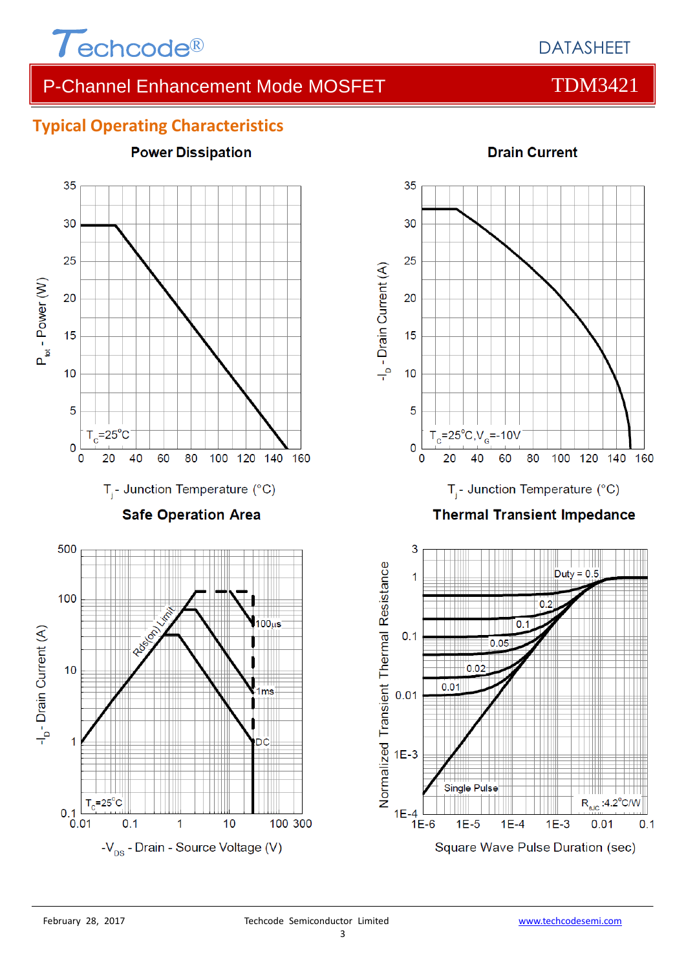





**Drain Current** 35 30 25 -I<sub>D</sub> - Drain Current (A) 20 15  $10$ 5  $T_c = 25^{\circ}C$ ,  $V_c = -10V$ 0 0 20 40 60 80 100 120 140 160  $T_i$ - Junction Temperature (°C) **Thermal Transient Impedance** 3 Normalized Transient Thermal Resistance  $Duty = 0.5$  $\overline{1}$ n O  $0.1$ 



 $1E-3$ 

 $R_{\text{enc}}$ :4.2 $^{\circ}$ C/W

 $0.1$ 

 $0.01$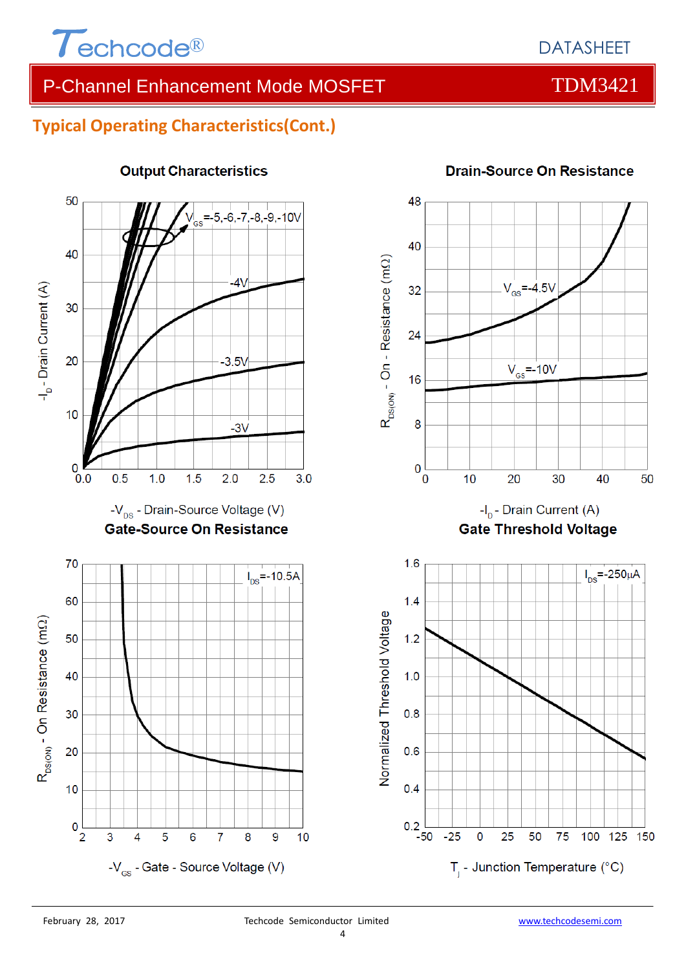

## **Typical Operating Characteristics(Cont.)**



### **Output Characteristics**



### **Drain-Source On Resistance**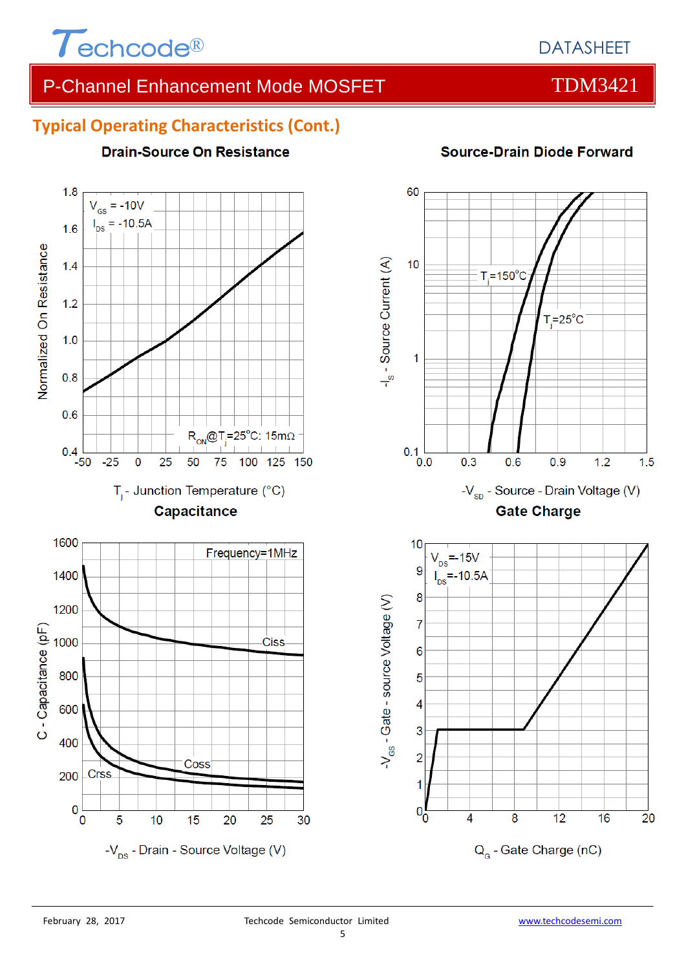

## **Typical Operating Characteristics (Cont.)**

**Drain-Source On Resistance** 



## **Source-Drain Diode Forward**

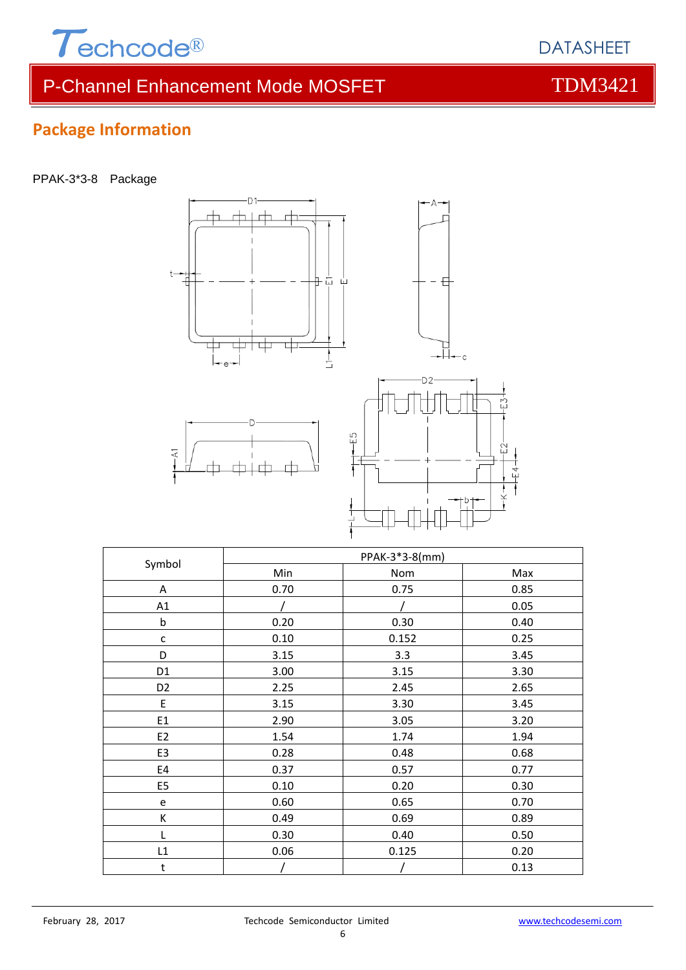

PPAK-3\*3-8 Package



| Symbol         | PPAK-3*3-8(mm) |       |      |  |
|----------------|----------------|-------|------|--|
|                | Min            | Nom   | Max  |  |
| Α              | 0.70           | 0.75  | 0.85 |  |
| A1             |                |       | 0.05 |  |
| $\sf b$        | 0.20           | 0.30  | 0.40 |  |
| $\mathsf{C}$   | 0.10           | 0.152 | 0.25 |  |
| D              | 3.15           | 3.3   | 3.45 |  |
| D <sub>1</sub> | 3.00           | 3.15  | 3.30 |  |
| D <sub>2</sub> | 2.25           | 2.45  | 2.65 |  |
| E              | 3.15           | 3.30  | 3.45 |  |
| E1             | 2.90           | 3.05  | 3.20 |  |
| E <sub>2</sub> | 1.54           | 1.74  | 1.94 |  |
| E3             | 0.28           | 0.48  | 0.68 |  |
| E4             | 0.37           | 0.57  | 0.77 |  |
| E <sub>5</sub> | 0.10           | 0.20  | 0.30 |  |
| e              | 0.60           | 0.65  | 0.70 |  |
| К              | 0.49           | 0.69  | 0.89 |  |
| L              | 0.30           | 0.40  | 0.50 |  |
| L1             | 0.06           | 0.125 | 0.20 |  |
| t              |                |       | 0.13 |  |

6